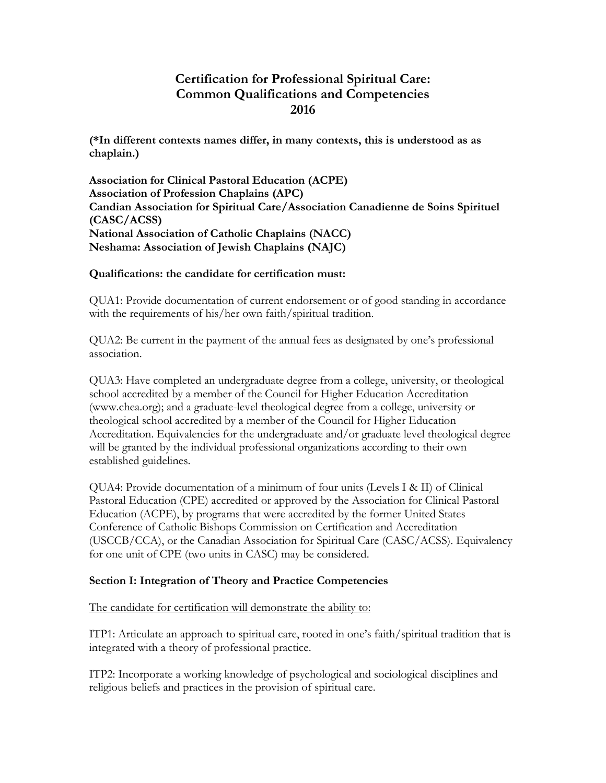# **Certification for Professional Spiritual Care: Common Qualifications and Competencies 2016**

**(\*In different contexts names differ, in many contexts, this is understood as as chaplain.)**

**Association for Clinical Pastoral Education (ACPE) Association of Profession Chaplains (APC) Candian Association for Spiritual Care/Association Canadienne de Soins Spirituel (CASC/ACSS) National Association of Catholic Chaplains (NACC) Neshama: Association of Jewish Chaplains (NAJC)**

## **Qualifications: the candidate for certification must:**

QUA1: Provide documentation of current endorsement or of good standing in accordance with the requirements of his/her own faith/spiritual tradition.

QUA2: Be current in the payment of the annual fees as designated by one's professional association.

QUA3: Have completed an undergraduate degree from a college, university, or theological school accredited by a member of the Council for Higher Education Accreditation (www.chea.org); and a graduate-level theological degree from a college, university or theological school accredited by a member of the Council for Higher Education Accreditation. Equivalencies for the undergraduate and/or graduate level theological degree will be granted by the individual professional organizations according to their own established guidelines.

QUA4: Provide documentation of a minimum of four units (Levels I & II) of Clinical Pastoral Education (CPE) accredited or approved by the Association for Clinical Pastoral Education (ACPE), by programs that were accredited by the former United States Conference of Catholic Bishops Commission on Certification and Accreditation (USCCB/CCA), or the Canadian Association for Spiritual Care (CASC/ACSS). Equivalency for one unit of CPE (two units in CASC) may be considered.

## **Section I: Integration of Theory and Practice Competencies**

The candidate for certification will demonstrate the ability to:

ITP1: Articulate an approach to spiritual care, rooted in one's faith/spiritual tradition that is integrated with a theory of professional practice.

ITP2: Incorporate a working knowledge of psychological and sociological disciplines and religious beliefs and practices in the provision of spiritual care.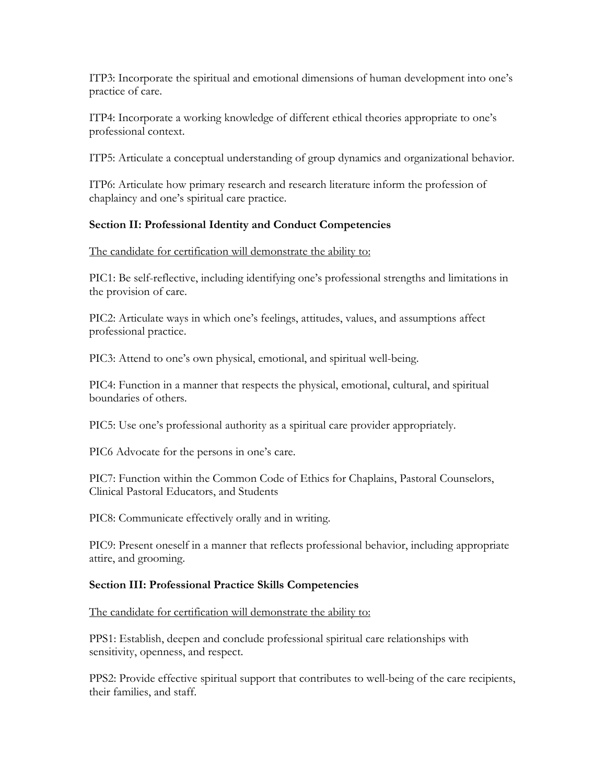ITP3: Incorporate the spiritual and emotional dimensions of human development into one's practice of care.

ITP4: Incorporate a working knowledge of different ethical theories appropriate to one's professional context.

ITP5: Articulate a conceptual understanding of group dynamics and organizational behavior.

ITP6: Articulate how primary research and research literature inform the profession of chaplaincy and one's spiritual care practice.

## **Section II: Professional Identity and Conduct Competencies**

The candidate for certification will demonstrate the ability to:

PIC1: Be self-reflective, including identifying one's professional strengths and limitations in the provision of care.

PIC2: Articulate ways in which one's feelings, attitudes, values, and assumptions affect professional practice.

PIC3: Attend to one's own physical, emotional, and spiritual well-being.

PIC4: Function in a manner that respects the physical, emotional, cultural, and spiritual boundaries of others.

PIC5: Use one's professional authority as a spiritual care provider appropriately.

PIC6 Advocate for the persons in one's care.

PIC7: Function within the Common Code of Ethics for Chaplains, Pastoral Counselors, Clinical Pastoral Educators, and Students

PIC8: Communicate effectively orally and in writing.

PIC9: Present oneself in a manner that reflects professional behavior, including appropriate attire, and grooming.

## **Section III: Professional Practice Skills Competencies**

The candidate for certification will demonstrate the ability to:

PPS1: Establish, deepen and conclude professional spiritual care relationships with sensitivity, openness, and respect.

PPS2: Provide effective spiritual support that contributes to well-being of the care recipients, their families, and staff.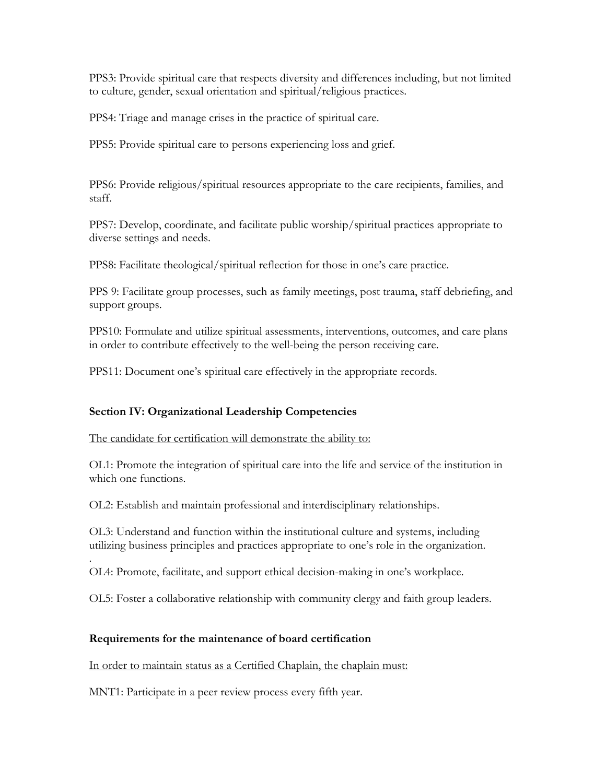PPS3: Provide spiritual care that respects diversity and differences including, but not limited to culture, gender, sexual orientation and spiritual/religious practices.

PPS4: Triage and manage crises in the practice of spiritual care.

PPS5: Provide spiritual care to persons experiencing loss and grief.

PPS6: Provide religious/spiritual resources appropriate to the care recipients, families, and staff.

PPS7: Develop, coordinate, and facilitate public worship/spiritual practices appropriate to diverse settings and needs.

PPS8: Facilitate theological/spiritual reflection for those in one's care practice.

PPS 9: Facilitate group processes, such as family meetings, post trauma, staff debriefing, and support groups.

PPS10: Formulate and utilize spiritual assessments, interventions, outcomes, and care plans in order to contribute effectively to the well-being the person receiving care.

PPS11: Document one's spiritual care effectively in the appropriate records.

## **Section IV: Organizational Leadership Competencies**

The candidate for certification will demonstrate the ability to:

OL1: Promote the integration of spiritual care into the life and service of the institution in which one functions.

OL2: Establish and maintain professional and interdisciplinary relationships.

OL3: Understand and function within the institutional culture and systems, including utilizing business principles and practices appropriate to one's role in the organization.

. OL4: Promote, facilitate, and support ethical decision-making in one's workplace.

OL5: Foster a collaborative relationship with community clergy and faith group leaders.

## **Requirements for the maintenance of board certification**

In order to maintain status as a Certified Chaplain, the chaplain must:

MNT1: Participate in a peer review process every fifth year.